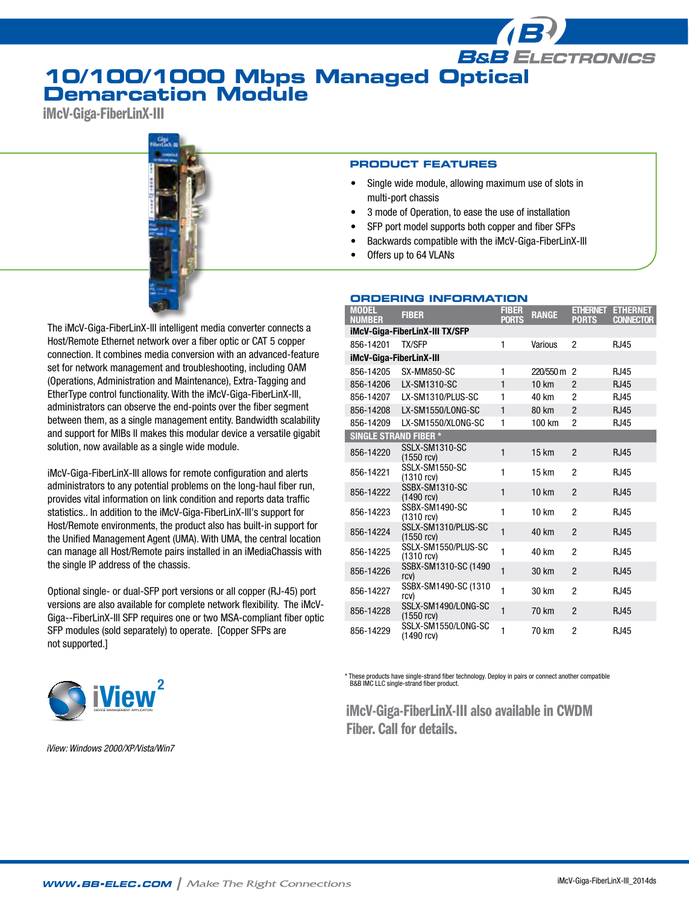## **10/100/1000 Mbps Managed Optical Demarcation Module**

iMcV-Giga-FiberLinX-III



The iMcV-Giga-FiberLinX-III intelligent media converter connects a Host/Remote Ethernet network over a fiber optic or CAT 5 copper connection. It combines media conversion with an advanced-feature set for network management and troubleshooting, including OAM (Operations, Administration and Maintenance), Extra-Tagging and EtherType control functionality. With the iMcV-Giga-FiberLinX-III, administrators can observe the end-points over the fiber segment between them, as a single management entity. Bandwidth scalability and support for MIBs II makes this modular device a versatile gigabit solution, now available as a single wide module.

iMcV-Giga-FiberLinX-III allows for remote configuration and alerts administrators to any potential problems on the long-haul fiber run, provides vital information on link condition and reports data traffic statistics.. In addition to the iMcV-Giga-FiberLinX-III's support for Host/Remote environments, the product also has built-in support for the Unified Management Agent (UMA). With UMA, the central location can manage all Host/Remote pairs installed in an iMediaChassis with the single IP address of the chassis.

Optional single- or dual-SFP port versions or all copper (RJ-45) port versions are also available for complete network flexibility. The iMcV-Giga--FiberLinX-III SFP requires one or two MSA-compliant fiber optic SFP modules (sold separately) to operate. [Copper SFPs are not supported.]



*iView: Windows 2000/XP/Vista/Win7*

### **PRODUCT FEATURES**

Single wide module, allowing maximum use of slots in multi-port chassis

**B&B ELECTRONICS** 

- 3 mode of Operation, to ease the use of installation
- SFP port model supports both copper and fiber SFPs
- Backwards compatible with the iMcV-Giga-FiberLinX-III
- Offers up to 64 VLANs

### **Ordering Information**

| <b>MODEL</b><br><b>NUMBER</b>  | <b>FIBER</b>                        | <b>FIBER</b><br><b>PORTS</b> | <b>RANGE</b> | <b>ETHERNET</b><br><b>PORTS</b> | <b>ETHERNET</b><br><b>CONNECTOR</b> |  |  |
|--------------------------------|-------------------------------------|------------------------------|--------------|---------------------------------|-------------------------------------|--|--|
| iMcV-Giga-FiberLinX-III TX/SFP |                                     |                              |              |                                 |                                     |  |  |
| 856-14201                      | <b>TX/SFP</b>                       | 1                            | Various      | $\overline{2}$                  | <b>RJ45</b>                         |  |  |
| iMcV-Giga-FiberLinX-III        |                                     |                              |              |                                 |                                     |  |  |
| 856-14205                      | SX-MM850-SC                         | 1                            | 220/550 m    | 2                               | <b>RJ45</b>                         |  |  |
| 856-14206                      | LX-SM1310-SC                        | 1                            | 10 km        | $\mathfrak{p}$                  | <b>RJ45</b>                         |  |  |
| 856-14207                      | LX-SM1310/PLUS-SC                   | 1                            | 40 km        | 2                               | <b>RJ45</b>                         |  |  |
| 856-14208                      | LX-SM1550/LONG-SC                   | 1                            | 80 km        | $\overline{2}$                  | <b>RJ45</b>                         |  |  |
| 856-14209                      | LX-SM1550/XLONG-SC                  | 1                            | 100 km       | $\overline{2}$                  | <b>RJ45</b>                         |  |  |
| <b>SINGLE STRAND FIBER *</b>   |                                     |                              |              |                                 |                                     |  |  |
| 856-14220                      | SSLX-SM1310-SC<br>$(1550$ rcv)      | $\mathbf{1}$                 | 15 km        | $\overline{2}$                  | <b>RJ45</b>                         |  |  |
| 856-14221                      | SSLX-SM1550-SC<br>(1310 rcv)        | 1                            | 15 km        | $\overline{2}$                  | <b>RJ45</b>                         |  |  |
| 856-14222                      | SSBX-SM1310-SC<br>$(1490$ rcv)      | $\mathbf{1}$                 | <b>10 km</b> | $\overline{2}$                  | <b>RJ45</b>                         |  |  |
| 856-14223                      | SSBX-SM1490-SC<br>$(1310$ rcv)      | $\mathbf{1}$                 | 10 km        | $\overline{2}$                  | <b>RJ45</b>                         |  |  |
| 856-14224                      | SSLX-SM1310/PLUS-SC<br>$(1550$ rcv) | $\mathbf{1}$                 | 40 km        | $\overline{2}$                  | <b>RJ45</b>                         |  |  |
| 856-14225                      | SSLX-SM1550/PLUS-SC<br>$(1310$ rcv) | 1                            | 40 km        | $\overline{2}$                  | <b>RJ45</b>                         |  |  |
| 856-14226                      | SSBX-SM1310-SC (1490<br>rcv)        | $\mathbf{1}$                 | 30 km        | $\overline{2}$                  | <b>RJ45</b>                         |  |  |
| 856-14227                      | SSBX-SM1490-SC (1310<br>rcv)        | 1                            | 30 km        | 2                               | <b>RJ45</b>                         |  |  |
| 856-14228                      | SSLX-SM1490/LONG-SC<br>$(1550$ rcv) | 1                            | 70 km        | $\overline{2}$                  | <b>RJ45</b>                         |  |  |
| 856-14229                      | SSLX-SM1550/LONG-SC<br>(1490 rcv)   | 1                            | 70 km        | $\overline{c}$                  | <b>RJ45</b>                         |  |  |

These products have single-strand fiber technology. Deploy in pairs or connect another compatible B&B IMC LLC single-strand fiber product.

iMcV-Giga-FiberLinX-III also available in CWDM Fiber. Call for details.